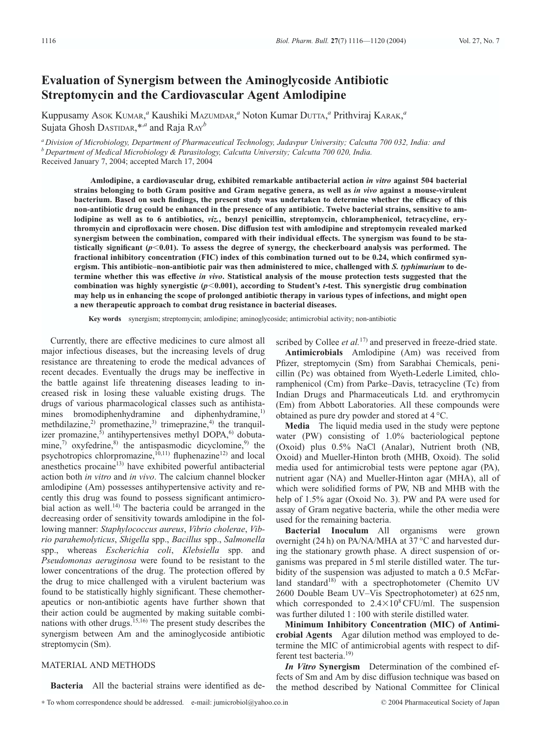# **Evaluation of Synergism between the Aminoglycoside Antibiotic Streptomycin and the Cardiovascular Agent Amlodipine**

Kuppusamy Asok KUMAR,<sup>*a*</sup> Kaushiki MazUMDAR,<sup>*a*</sup> Noton Kumar DUTTA,<sup>*a*</sup> Prithviraj KARAK,<sup>*a*</sup> Sujata Ghosh DASTIDAR,\*,*<sup>a</sup>* and Raja RAY*<sup>b</sup>*

*<sup>a</sup> Division of Microbiology, Department of Pharmaceutical Technology, Jadavpur University; Calcutta 700 032, India: and <sup>b</sup> Department of Medical Microbiology & Parasitology, Calcutta University; Calcutta 700 020, India.* Received January 7, 2004; accepted March 17, 2004

**Amlodipine, a cardiovascular drug, exhibited remarkable antibacterial action** *in vitro* **against 504 bacterial strains belonging to both Gram positive and Gram negative genera, as well as** *in vivo* **against a mouse-virulent bacterium. Based on such findings, the present study was undertaken to determine whether the efficacy of this non-antibiotic drug could be enhanced in the presence of any antibiotic. Twelve bacterial strains, sensitive to amlodipine as well as to 6 antibiotics,** *viz.***, benzyl penicillin, streptomycin, chloramphenicol, tetracycline, erythromycin and ciprofloxacin were chosen. Disc diffusion test with amlodipine and streptomycin revealed marked synergism between the combination, compared with their individual effects. The synergism was found to be statistically significant (***p*-**0.01). To assess the degree of synergy, the checkerboard analysis was performed. The fractional inhibitory concentration (FIC) index of this combination turned out to be 0.24, which confirmed synergism. This antibiotic–non-antibiotic pair was then administered to mice, challenged with** *S. typhimurium* **to determine whether this was effective** *in vivo***. Statistical analysis of the mouse protection tests suggested that the combination was highly synergistic (***p*-**0.001), according to Student's** *t***-test. This synergistic drug combination may help us in enhancing the scope of prolonged antibiotic therapy in various types of infections, and might open a new therapeutic approach to combat drug resistance in bacterial diseases.**

**Key words** synergism; streptomycin; amlodipine; aminoglycoside; antimicrobial activity; non-antibiotic

Currently, there are effective medicines to cure almost all major infectious diseases, but the increasing levels of drug resistance are threatening to erode the medical advances of recent decades. Eventually the drugs may be ineffective in the battle against life threatening diseases leading to increased risk in losing these valuable existing drugs. The drugs of various pharmacological classes such as antihistamines bromodiphenhydramine and diphenhydramine,<sup>1)</sup> methdilazine,<sup>2)</sup> promethazine,<sup>3)</sup> trimeprazine,<sup>4)</sup> the tranquilizer promazine,<sup>5)</sup> antihypertensives methyl DOPA,<sup>6)</sup> dobutamine, $\overline{r}$  oxyfedrine, $\overline{s}$  the antispasmodic dicyclomine, $\overline{s}$  the psychotropics chlorpromazine, $10,111$ ) fluphenazine<sup>12)</sup> and local anesthetics procaine $^{13)}$  have exhibited powerful antibacterial action both *in vitro* and *in vivo*. The calcium channel blocker amlodipine (Am) possesses antihypertensive activity and recently this drug was found to possess significant antimicrobial action as well.<sup>14)</sup> The bacteria could be arranged in the decreasing order of sensitivity towards amlodipine in the following manner: *Staphylococcus aureus*, *Vibrio cholerae*, *Vibrio parahemolyticus*, *Shigella* spp., *Bacillus* spp., *Salmonella* spp., whereas *Escherichia coli*, *Klebsiella* spp. and *Pseudomonas aeruginosa* were found to be resistant to the lower concentrations of the drug. The protection offered by the drug to mice challenged with a virulent bacterium was found to be statistically highly significant. These chemotherapeutics or non-antibiotic agents have further shown that their action could be augmented by making suitable combinations with other drugs.<sup>15,16</sup> The present study describes the synergism between Am and the aminoglycoside antibiotic streptomycin (Sm).

## MATERIAL AND METHODS

**Bacteria** All the bacterial strains were identified as de-

scribed by Collee *et al.*<sup>17)</sup> and preserved in freeze-dried state.

**Antimicrobials** Amlodipine (Am) was received from Pfizer, streptomycin (Sm) from Sarabhai Chemicals, penicillin (Pc) was obtained from Wyeth-Lederle Limited, chloramphenicol (Cm) from Parke–Davis, tetracycline (Tc) from Indian Drugs and Pharmaceuticals Ltd. and erythromycin (Em) from Abbott Laboratories. All these compounds were obtained as pure dry powder and stored at 4 °C.

**Media** The liquid media used in the study were peptone water (PW) consisting of 1.0% bacteriological peptone (Oxoid) plus 0.5% NaCl (Analar), Nutrient broth (NB, Oxoid) and Mueller-Hinton broth (MHB, Oxoid). The solid media used for antimicrobial tests were peptone agar (PA), nutrient agar (NA) and Mueller-Hinton agar (MHA), all of which were solidified forms of PW, NB and MHB with the help of 1.5% agar (Oxoid No. 3). PW and PA were used for assay of Gram negative bacteria, while the other media were used for the remaining bacteria.

**Bacterial Inoculum** All organisms were grown overnight (24 h) on PA/NA/MHA at 37 °C and harvested during the stationary growth phase. A direct suspension of organisms was prepared in 5 ml sterile distilled water. The turbidity of the suspension was adjusted to match a 0.5 McFarland standard $18$ ) with a spectrophotometer (Chemito UV 2600 Double Beam UV–Vis Spectrophotometer) at 625 nm, which corresponded to  $2.4 \times 10^8$  CFU/ml. The suspension was further diluted 1 : 100 with sterile distilled water.

**Minimum Inhibitory Concentration (MIC) of Antimicrobial Agents** Agar dilution method was employed to determine the MIC of antimicrobial agents with respect to different test bacteria.<sup>19)</sup>

*In Vitro* **Synergism** Determination of the combined effects of Sm and Am by disc diffusion technique was based on the method described by National Committee for Clinical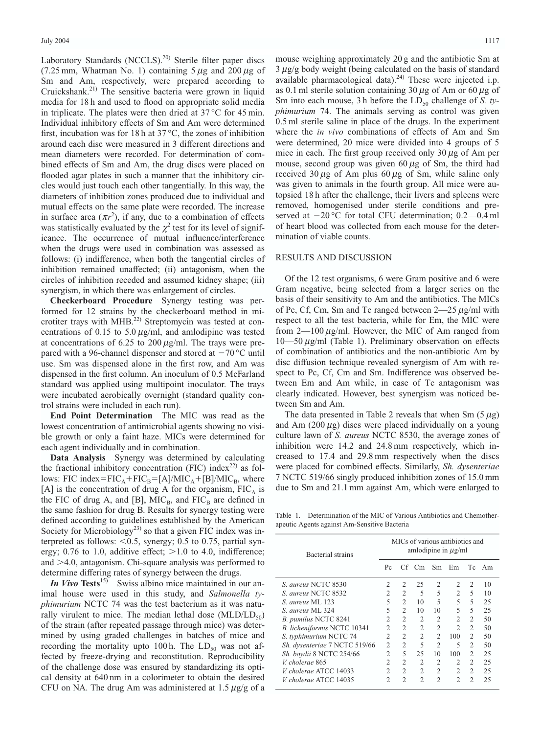Laboratory Standards (NCCLS).<sup>20)</sup> Sterile filter paper discs (7.25 mm, Whatman No. 1) containing  $5 \mu$ g and 200  $\mu$ g of Sm and Am, respectively, were prepared according to Cruickshank.21) The sensitive bacteria were grown in liquid media for 18 h and used to flood on appropriate solid media in triplicate. The plates were then dried at  $37^{\circ}$ C for 45 min. Individual inhibitory effects of Sm and Am were determined first, incubation was for 18 h at  $37^{\circ}$ C, the zones of inhibition around each disc were measured in 3 different directions and mean diameters were recorded. For determination of combined effects of Sm and Am, the drug discs were placed on flooded agar plates in such a manner that the inhibitory circles would just touch each other tangentially. In this way, the diameters of inhibition zones produced due to individual and mutual effects on the same plate were recorded. The increase in surface area  $(\pi r^2)$ , if any, due to a combination of effects was statistically evaluated by the  $\chi^2$  test for its level of significance. The occurrence of mutual influence/interference when the drugs were used in combination was assessed as follows: (i) indifference, when both the tangential circles of inhibition remained unaffected; (ii) antagonism, when the circles of inhibition receded and assumed kidney shape; (iii) synergism, in which there was enlargement of circles.

**Checkerboard Procedure** Synergy testing was performed for 12 strains by the checkerboard method in microtiter trays with MHB.<sup>22)</sup> Streptomycin was tested at concentrations of 0.15 to 5.0  $\mu$ g/ml, and amlodipine was tested at concentrations of 6.25 to 200  $\mu$ g/ml. The trays were prepared with a 96-channel dispenser and stored at  $-70$  °C until use. Sm was dispensed alone in the first row, and Am was dispensed in the first column. An inoculum of 0.5 McFarland standard was applied using multipoint inoculator. The trays were incubated aerobically overnight (standard quality control strains were included in each run).

**End Point Determination** The MIC was read as the lowest concentration of antimicrobial agents showing no visible growth or only a faint haze. MICs were determined for each agent individually and in combination.

**Data Analysis** Synergy was determined by calculating the fractional inhibitory concentration (FIC) index<sup>22)</sup> as follows: FIC index=FIC<sub>A</sub>+FIC<sub>B</sub>=[A]/MIC<sub>A</sub>+[B]/MIC<sub>B</sub>, where [A] is the concentration of drug A for the organism,  $FIC<sub>A</sub>$  is the FIC of drug A, and [B],  $MIC<sub>B</sub>$ , and  $FIC<sub>B</sub>$  are defined in the same fashion for drug B. Results for synergy testing were defined according to guidelines established by the American Society for Microbiology<sup>23)</sup> so that a given FIC index was interpreted as follows:  $<$  0.5, synergy; 0.5 to 0.75, partial synergy; 0.76 to 1.0, additive effect;  $>1.0$  to 4.0, indifference; and  $>4.0$ , antagonism. Chi-square analysis was performed to determine differing rates of synergy between the drugs.

*In Vivo* **Tests**15) Swiss albino mice maintained in our animal house were used in this study, and *Salmonella typhimurium* NCTC 74 was the test bacterium as it was naturally virulent to mice. The median lethal dose  $(MLD/LD<sub>50</sub>)$ of the strain (after repeated passage through mice) was determined by using graded challenges in batches of mice and recording the mortality upto 100 h. The  $LD_{50}$  was not affected by freeze-drying and reconstitution. Reproducibility of the challenge dose was ensured by standardizing its optical density at 640 nm in a colorimeter to obtain the desired CFU on NA. The drug Am was administered at  $1.5 \mu g/g$  of a mouse weighing approximately 20 g and the antibiotic Sm at  $3 \mu g/g$  body weight (being calculated on the basis of standard available pharmacological data). $^{24)}$  These were injected i.p. as 0.1 ml sterile solution containing 30  $\mu$ g of Am or 60  $\mu$ g of Sm into each mouse, 3 h before the LD<sub>50</sub> challenge of *S. typhimurium* 74. The animals serving as control was given 0.5 ml sterile saline in place of the drugs. In the experiment where the *in vivo* combinations of effects of Am and Sm were determined, 20 mice were divided into 4 groups of 5 mice in each. The first group received only  $30 \mu g$  of Am per mouse, second group was given 60  $\mu$ g of Sm, the third had received 30  $\mu$ g of Am plus 60  $\mu$ g of Sm, while saline only was given to animals in the fourth group. All mice were autopsied 18 h after the challenge, their livers and spleens were removed, homogenised under sterile conditions and preserved at  $-20$  °C for total CFU determination; 0.2—0.4 ml of heart blood was collected from each mouse for the determination of viable counts.

## RESULTS AND DISCUSSION

Of the 12 test organisms, 6 were Gram positive and 6 were Gram negative, being selected from a larger series on the basis of their sensitivity to Am and the antibiotics. The MICs of Pc, Cf, Cm, Sm and Tc ranged between  $2-25 \mu g/ml$  with respect to all the test bacteria, while for Em, the MIC were from  $2$ —100  $\mu$ g/ml. However, the MIC of Am ranged from  $10$ —50  $\mu$ g/ml (Table 1). Preliminary observation on effects of combination of antibiotics and the non-antibiotic Am by disc diffusion technique revealed synergism of Am with respect to Pc, Cf, Cm and Sm. Indifference was observed between Em and Am while, in case of Tc antagonism was clearly indicated. However, best synergism was noticed between Sm and Am.

The data presented in Table 2 reveals that when Sm  $(5 \mu g)$ and Am  $(200 \,\mu$ g) discs were placed individually on a young culture lawn of *S. aureus* NCTC 8530, the average zones of inhibition were 14.2 and 24.8 mm respectively, which increased to 17.4 and 29.8 mm respectively when the discs were placed for combined effects. Similarly, *Sh. dysenteriae* 7 NCTC 519/66 singly produced inhibition zones of 15.0 mm due to Sm and 21.1 mm against Am, which were enlarged to

Table 1. Determination of the MIC of Various Antibiotics and Chemotherapeutic Agents against Am-Sensitive Bacteria

| Bacterial strains             |                | MICs of various antibiotics and<br>amlodipine in $\mu$ g/ml |                             |                |                |                |      |  |
|-------------------------------|----------------|-------------------------------------------------------------|-----------------------------|----------------|----------------|----------------|------|--|
|                               | Pc             |                                                             | $Cf$ $Cm$ $Sm$ $Em$         |                |                | Tc.            | – Am |  |
| S. aureus NCTC 8530           | 2              | $\mathfrak{D}$                                              | 25                          | 2              | $\mathfrak{D}$ | $\mathcal{L}$  | 10   |  |
| S. aureus NCTC 8532           | $\overline{c}$ | $\overline{c}$                                              | 5                           | 5              | 2              | 5              | 10   |  |
| S. aureus ML 123              | 5              | 2                                                           | 10                          | 5              | 5              | 5              | 25   |  |
| S. aureus ML 324              | 5              | $\overline{c}$                                              | 10                          | 10             | 5              | 5              | 25   |  |
| B. pumilus NCTC 8241          | 2              | 2                                                           | 2                           | 2              | $\overline{2}$ | $\overline{c}$ | 50   |  |
| B. licheniformis NCTC 10341   | $\overline{c}$ | $\overline{c}$                                              | $\overline{2}$              | 2              | $\mathfrak{D}$ | $\overline{c}$ | 50   |  |
| S. typhimurium NCTC 74        | $\overline{c}$ | $\overline{c}$                                              | $\overline{c}$              | $\overline{c}$ | 100            | $\overline{c}$ | 50   |  |
| Sh. dysenteriae 7 NCTC 519/66 | $\mathfrak{D}$ | $\overline{c}$                                              | $\overline{\phantom{0}}$    | $\mathfrak{D}$ | 5              | 2              | 50   |  |
| Sh. boydii 8 NCTC 254/66      | $\mathfrak{D}$ | 5                                                           | 25                          | 10             | 100            | $\mathfrak{D}$ | 25   |  |
| V. cholerae 865               | 2              | $\overline{c}$                                              | $\mathcal{D}_{\mathcal{L}}$ | $\mathfrak{D}$ | 2              | $\mathfrak{D}$ | 25   |  |
| V. cholerae ATCC 14033        | $\mathfrak{D}$ | 2                                                           | 2                           | 2              | 2              | $\overline{c}$ | 25   |  |
| V. cholerae ATCC 14035        | 2              | $\mathfrak{D}$                                              | $\mathfrak{D}$              | $\mathfrak{D}$ | $\mathfrak{D}$ | $\mathfrak{D}$ | 25   |  |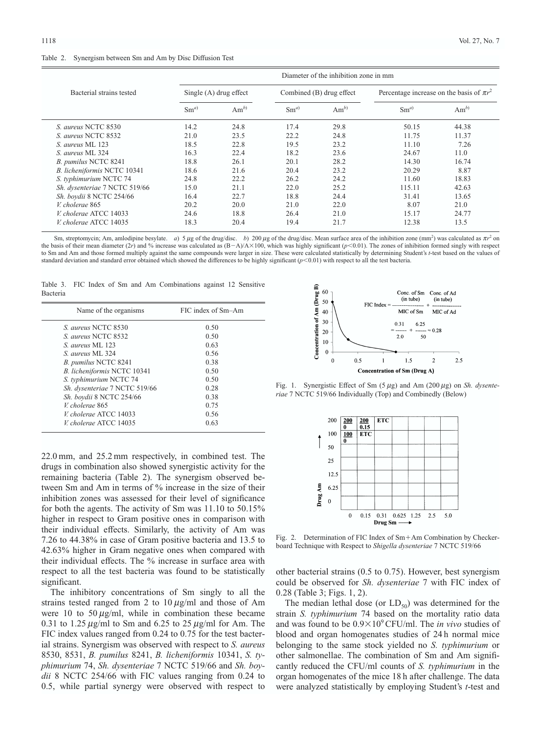### Table 2. Synergism between Sm and Am by Disc Diffusion Test

|                               | Diameter of the inhibition zone in mm |          |          |                          |                                               |          |  |
|-------------------------------|---------------------------------------|----------|----------|--------------------------|-----------------------------------------------|----------|--|
| Bacterial strains tested      | Single $(A)$ drug effect              |          |          | Combined (B) drug effect | Percentage increase on the basis of $\pi r^2$ |          |  |
|                               | $Sm^{a}$                              | $Am^{b}$ | $Sm^{a}$ | $Am^{b}$                 | $Sm^{a}$                                      | $Am^{b}$ |  |
| S. aureus NCTC 8530           | 14.2                                  | 24.8     | 17.4     | 29.8                     | 50.15                                         | 44.38    |  |
| S. aureus NCTC 8532           | 21.0                                  | 23.5     | 22.2     | 24.8                     | 11.75                                         | 11.37    |  |
| S. aureus ML 123              | 18.5                                  | 22.8     | 19.5     | 23.2                     | 11.10                                         | 7.26     |  |
| S. aureus ML 324              | 16.3                                  | 22.4     | 18.2     | 23.6                     | 24.67                                         | 11.0     |  |
| B. pumilus NCTC 8241          | 18.8                                  | 26.1     | 20.1     | 28.2                     | 14.30                                         | 16.74    |  |
| B. licheniformis NCTC 10341   | 18.6                                  | 21.6     | 20.4     | 23.2                     | 20.29                                         | 8.87     |  |
| S. typhimurium NCTC 74        | 24.8                                  | 22.2     | 26.2     | 24.2                     | 11.60                                         | 18.83    |  |
| Sh. dysenteriae 7 NCTC 519/66 | 15.0                                  | 21.1     | 22.0     | 25.2                     | 115.11                                        | 42.63    |  |
| Sh. boydii 8 NCTC 254/66      | 16.4                                  | 22.7     | 18.8     | 24.4                     | 31.41                                         | 13.65    |  |
| V. cholerae 865               | 20.2                                  | 20.0     | 21.0     | 22.0                     | 8.07                                          | 21.0     |  |
| V. cholerae ATCC 14033        | 24.6                                  | 18.8     | 26.4     | 21.0                     | 15.17                                         | 24.77    |  |
| V. cholerae ATCC 14035        | 18.3                                  | 20.4     | 19.4     | 21.7                     | 12.38                                         | 13.5     |  |

Sm, streptomycin; Am, amlodipine besylate. *a*) 5 µg of the drug/disc. *b*) 200 µg of the drug/disc. Mean surface area of the inhibition zone (mm<sup>2</sup>) was calculated as  $\pi r^2$  on the basis of their mean diameter  $(2r)$  and % increase was calculated as  $(B-A)/A \times 100$ , which was highly significant  $(p<0.01)$ . The zones of inhibition formed singly with respect to Sm and Am and those formed multiply against the same compounds were larger in size. These were calculated statistically by determining Student's *t*-test based on the values of standard deviation and standard error obtained which showed the differences to be highly significant (*p*-0.01) with respect to all the test bacteria.

Table 3. FIC Index of Sm and Am Combinations against 12 Sensitive Bacteria

| Name of the organisms         | FIC index of Sm-Am |
|-------------------------------|--------------------|
| S. aureus NCTC 8530           | 0.50               |
| S. aureus NCTC 8532           | 0.50               |
| S aureus ML 123               | 0.63               |
| S. aureus ML 324              | 0.56               |
| B. pumilus NCTC 8241          | 0.38               |
| B. licheniformis NCTC 10341   | 0.50               |
| S. typhimurium NCTC 74        | 0.50               |
| Sh. dysenteriae 7 NCTC 519/66 | 0.28               |
| Sh. boydii 8 NCTC 254/66      | 0.38               |
| V. cholerae 865               | 0.75               |
| V. cholerae ATCC 14033        | 0.56               |
| V. cholerae ATCC 14035        | 0.63               |

22.0 mm, and 25.2 mm respectively, in combined test. The drugs in combination also showed synergistic activity for the remaining bacteria (Table 2). The synergism observed between Sm and Am in terms of % increase in the size of their inhibition zones was assessed for their level of significance for both the agents. The activity of Sm was 11.10 to 50.15% higher in respect to Gram positive ones in comparison with their individual effects. Similarly, the activity of Am was 7.26 to 44.38% in case of Gram positive bacteria and 13.5 to 42.63% higher in Gram negative ones when compared with their individual effects. The % increase in surface area with respect to all the test bacteria was found to be statistically significant.

The inhibitory concentrations of Sm singly to all the strains tested ranged from 2 to  $10 \mu g/ml$  and those of Am were 10 to 50  $\mu$ g/ml, while in combination these became 0.31 to 1.25  $\mu$ g/ml to Sm and 6.25 to 25  $\mu$ g/ml for Am. The FIC index values ranged from 0.24 to 0.75 for the test bacterial strains. Synergism was observed with respect to *S. aureus* 8530, 8531, *B. pumilus* 8241, *B. licheniformis* 10341, *S. typhimurium* 74, *Sh. dysenteriae* 7 NCTC 519/66 and *Sh. boydii* 8 NCTC 254/66 with FIC values ranging from 0.24 to 0.5, while partial synergy were observed with respect to



Fig. 1. Synergistic Effect of Sm (5  $\mu$ g) and Am (200  $\mu$ g) on *Sh. dysenteriae* 7 NCTC 519/66 Individually (Top) and Combinedly (Below)



Fig. 2. Determination of FIC Index of  $Sm+Am$  Combination by Checkerboard Technique with Respect to *Shigella dysenteriae* 7 NCTC 519/66

other bacterial strains (0.5 to 0.75). However, best synergism could be observed for *Sh. dysenteriae* 7 with FIC index of 0.28 (Table 3; Figs. 1, 2).

The median lethal dose (or  $LD_{50}$ ) was determined for the strain *S. typhimurium* 74 based on the mortality ratio data and was found to be  $0.9\times10^9$  CFU/ml. The *in vivo* studies of blood and organ homogenates studies of 24 h normal mice belonging to the same stock yielded no *S. typhimurium* or other salmonellae. The combination of Sm and Am significantly reduced the CFU/ml counts of *S. typhimurium* in the organ homogenates of the mice 18 h after challenge. The data were analyzed statistically by employing Student's *t*-test and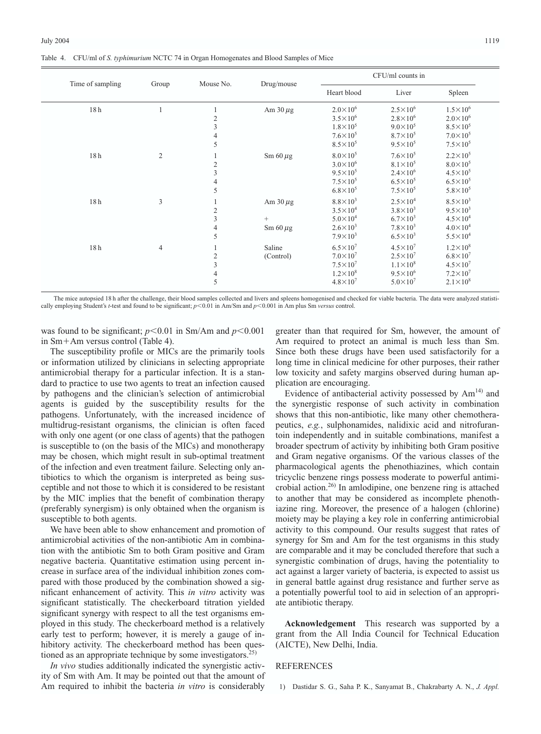|  | Table 4. CFU/ml of S. typhimurium NCTC 74 in Organ Homogenates and Blood Samples of Mice |  |
|--|------------------------------------------------------------------------------------------|--|
|  |                                                                                          |  |

| Time of sampling |                |                                                              |                                          |                                                                                                       | CFU/ml counts in                                                                                        |                                                                                                           |  |  |
|------------------|----------------|--------------------------------------------------------------|------------------------------------------|-------------------------------------------------------------------------------------------------------|---------------------------------------------------------------------------------------------------------|-----------------------------------------------------------------------------------------------------------|--|--|
|                  | Group          | Mouse No.                                                    | Drug/mouse                               | Heart blood                                                                                           | Liver                                                                                                   | Spleen                                                                                                    |  |  |
| 18 <sub>h</sub>  |                | $\frac{2}{3}$<br>$\overline{4}$<br>5                         | Am $30 \mu$ g                            | $2.0\times10^6$<br>$3.5 \times 10^{6}$<br>$1.8 \times 10^{5}$<br>$7.6\times10^5$<br>$8.5\times10^{5}$ | $2.5 \times 10^{6}$<br>$2.8 \times 10^{6}$<br>$9.0 \times 10^5$<br>$8.7\times10^5$<br>$9.5 \times 10^5$ | $1.5 \times 10^{6}$<br>$2.0 \times 10^6$<br>$8.5\times10^5$<br>$7.0\times10^5$<br>$7.5\times10^5$         |  |  |
| 18 <sub>h</sub>  | $\overline{2}$ | -1<br>$\frac{2}{3}$<br>$\overline{4}$<br>5                   | $\rm Sm 60 \mu g$                        | $8.0\times10^5$<br>$3.0\times10^6$<br>$9.5 \times 10^{5}$<br>$7.5\times10^{5}$<br>$6.8 \times 10^{5}$ | $7.6\times10^5$<br>$8.1\times10^5$<br>$2.4 \times 10^{6}$<br>$6.5 \times 10^{5}$<br>$7.5\times10^5$     | $2.2 \times 10^5$<br>$8.0\times10^5$<br>$4.5 \times 10^{5}$<br>$6.5 \times 10^{5}$<br>$5.8 \times 10^{5}$ |  |  |
| 18 <sub>h</sub>  | 3              | $\sqrt{2}$<br>$\sqrt{3}$<br>$\overline{4}$<br>$\overline{5}$ | Am $30 \mu$ g<br>$^{+}$<br>Sm $60 \mu$ g | $8.8\times10^3$<br>$3.5\times10^4$<br>$5.0 \times 10^{4}$<br>$2.6 \times 10^3$<br>$7.9\times10^3$     | $2.5 \times 10^{4}$<br>$3.8\times10^3$<br>$6.7 \times 10^{3}$<br>$7.8\times10^3$<br>$6.5 \times 10^{3}$ | $8.5\times10^3$<br>$9.5 \times 10^3$<br>$4.5 \times 10^{4}$<br>$4.0 \times 10^{4}$<br>$5.5 \times 10^{4}$ |  |  |
| 18 <sub>h</sub>  | $\overline{4}$ | 1<br>$\sqrt{2}$<br>$\mathfrak z$<br>$\overline{4}$<br>5      | Saline<br>(Control)                      | $6.5 \times 10^{7}$<br>$7.0\times10^7$<br>$7.5\times10^7$<br>$1.2 \times 10^8$<br>$4.8 \times 10^{7}$ | $4.5\times10^7$<br>$2.5 \times 10^{7}$<br>$1.1 \times 10^8$<br>$9.5 \times 10^6$<br>$5.0 \times 10^{7}$ | $1.2 \times 10^8$<br>$6.8 \times 10^{7}$<br>$4.5 \times 10^{7}$<br>$7.2\times10^7$<br>$2.1 \times 10^8$   |  |  |

The mice autopsied 18 h after the challenge, their blood samples collected and livers and spleens homogenised and checked for viable bacteria. The data were analyzed statistically employing Student's *t*-test and found to be significant; *p*-0.01 in Am/Sm and *p*-0.001 in Am plus Sm *versus* control.

was found to be significant;  $p < 0.01$  in Sm/Am and  $p < 0.001$ in  $Sm+Am$  versus control (Table 4).

The susceptibility profile or MICs are the primarily tools or information utilized by clinicians in selecting appropriate antimicrobial therapy for a particular infection. It is a standard to practice to use two agents to treat an infection caused by pathogens and the clinician's selection of antimicrobial agents is guided by the susceptibility results for the pathogens. Unfortunately, with the increased incidence of multidrug-resistant organisms, the clinician is often faced with only one agent (or one class of agents) that the pathogen is susceptible to (on the basis of the MICs) and monotherapy may be chosen, which might result in sub-optimal treatment of the infection and even treatment failure. Selecting only antibiotics to which the organism is interpreted as being susceptible and not those to which it is considered to be resistant by the MIC implies that the benefit of combination therapy (preferably synergism) is only obtained when the organism is susceptible to both agents.

We have been able to show enhancement and promotion of antimicrobial activities of the non-antibiotic Am in combination with the antibiotic Sm to both Gram positive and Gram negative bacteria. Quantitative estimation using percent increase in surface area of the individual inhibition zones compared with those produced by the combination showed a significant enhancement of activity. This *in vitro* activity was significant statistically. The checkerboard titration yielded significant synergy with respect to all the test organisms employed in this study. The checkerboard method is a relatively early test to perform; however, it is merely a gauge of inhibitory activity. The checkerboard method has been questioned as an appropriate technique by some investigators.<sup>25)</sup>

*In vivo* studies additionally indicated the synergistic activity of Sm with Am. It may be pointed out that the amount of Am required to inhibit the bacteria *in vitro* is considerably

greater than that required for Sm, however, the amount of Am required to protect an animal is much less than Sm. Since both these drugs have been used satisfactorily for a long time in clinical medicine for other purposes, their rather low toxicity and safety margins observed during human application are encouraging.

Evidence of antibacterial activity possessed by  $Am<sup>14</sup>$  and the synergistic response of such activity in combination shows that this non-antibiotic, like many other chemotherapeutics, *e.g.*, sulphonamides, nalidixic acid and nitrofurantoin independently and in suitable combinations, manifest a broader spectrum of activity by inhibiting both Gram positive and Gram negative organisms. Of the various classes of the pharmacological agents the phenothiazines, which contain tricyclic benzene rings possess moderate to powerful antimicrobial action.26) In amlodipine, one benzene ring is attached to another that may be considered as incomplete phenothiazine ring. Moreover, the presence of a halogen (chlorine) moiety may be playing a key role in conferring antimicrobial activity to this compound. Our results suggest that rates of synergy for Sm and Am for the test organisms in this study are comparable and it may be concluded therefore that such a synergistic combination of drugs, having the potentiality to act against a larger variety of bacteria, is expected to assist us in general battle against drug resistance and further serve as a potentially powerful tool to aid in selection of an appropriate antibiotic therapy.

**Acknowledgement** This research was supported by a grant from the All India Council for Technical Education (AICTE), New Delhi, India.

#### **REFERENCES**